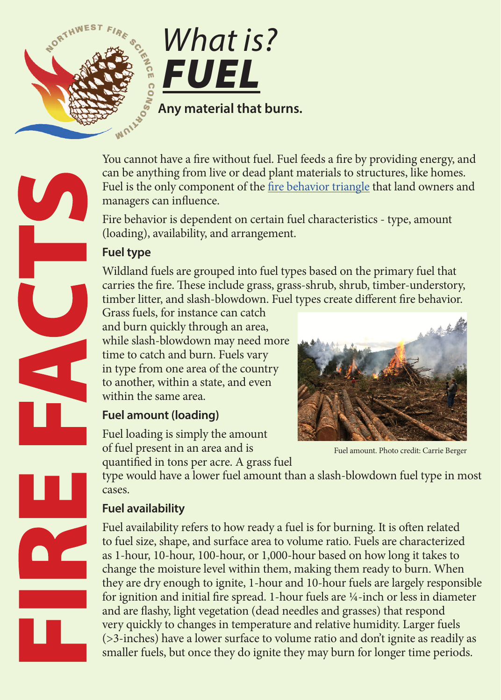

You cannot have a fire without fuel. Fuel feeds a fire by providing energy, and can be anything from live or dead plant materials to structures, like homes. Fuel is the only component of the [fire behavior triangle](http://www.nwfirescience.org/biblio/nwfsc-fire-facts-what-fire-behavior) that land owners and managers can influence.

Fire behavior is dependent on certain fuel characteristics - type, amount (loading), availability, and arrangement.

## **Fuel type**

Wildland fuels are grouped into fuel types based on the primary fuel that carries the fire. These include grass, grass-shrub, shrub, timber-understory, timber litter, and slash-blowdown. Fuel types create different fire behavior.

Grass fuels, for instance can catch and burn quickly through an area, while slash-blowdown may need more time to catch and burn. Fuels vary in type from one area of the country to another, within a state, and even within the same area.

# **Fuel amount (loading)**

Fuel loading is simply the amount of fuel present in an area and is quantified in tons per acre. A grass fuel

Fuel amount. Photo credit: Carrie Berger

type would have a lower fuel amount than a slash-blowdown fuel type in most cases.

# **Fuel availability**

Fuel availability refers to how ready a fuel is for burning. It is often related to fuel size, shape, and surface area to volume ratio. Fuels are characterized as 1-hour, 10-hour, 100-hour, or 1,000-hour based on how long it takes to change the moisture level within them, making them ready to burn. When they are dry enough to ignite, 1-hour and 10-hour fuels are largely responsible for ignition and initial fire spread. 1-hour fuels are ¼-inch or less in diameter and are flashy, light vegetation (dead needles and grasses) that respond very quickly to changes in temperature and relative humidity. Larger fuels (>3-inches) have a lower surface to volume ratio and don't ignite as readily as smaller fuels, but once they do ignite they may burn for longer time periods.